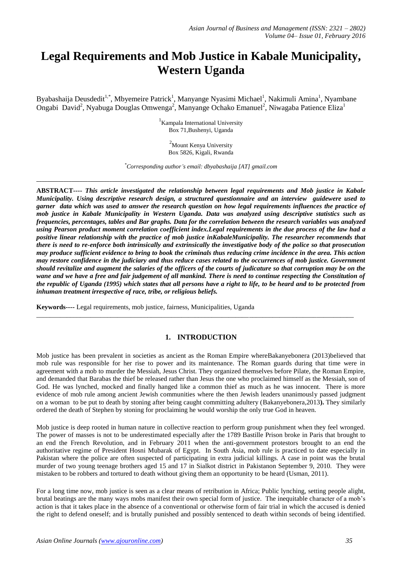# **Legal Requirements and Mob Justice in Kabale Municipality, Western Uganda**

Byabashaija Deusdedit<sup>1,\*</sup>, Mbyemeire Patrick<sup>1</sup>, Manyange Nyasimi Michael<sup>1</sup>, Nakimuli Amina<sup>1</sup>, Nyambane Ongabi David<sup>2</sup>, Nyabuga Douglas Omwenga<sup>2</sup>, Manyange Ochako Emanuel<sup>2</sup>, Niwagaba Patience Eliza<sup>1</sup>

> <sup>1</sup> Kampala International University Box 71,Bushenyi, Uganda

> > <sup>2</sup>Mount Kenya University Box 5826, Kigali, Rwanda

*\*Corresponding author"s email: dbyabashaija [AT] gmail.com* **\_\_\_\_\_\_\_\_\_\_\_\_\_\_\_\_\_\_\_\_\_\_\_\_\_\_\_\_\_\_\_\_\_\_\_\_\_\_\_\_\_\_\_\_\_\_\_\_\_\_\_\_\_\_\_\_\_\_\_\_\_\_\_\_\_\_\_\_\_\_\_\_\_\_\_\_\_\_\_\_\_\_\_\_\_\_\_\_\_\_\_\_\_\_\_\_\_\_\_\_\_\_\_\_\_\_\_\_\_\_\_\_\_\_\_\_\_\_\_\_\_** 

**ABSTRACT----** *This article investigated the relationship between legal requirements and Mob justice in Kabale Municipality. Using descriptive research design, a structured questionnaire and an interview guidewere used to garner data which was used to answer the research question on how legal requirements influences the practice of mob justice in Kabale Municipality in Western Uganda. Data was analyzed using descriptive statistics such as frequencies, percentages, tables and Bar graphs. Data for the correlation between the research variables was analyzed using Pearson product moment correlation coefficient index.Legal requirements in the due process of the law had a positive linear relationship with the practice of mob justice inKabaleMunicipality. The researcher recommends that there is need to re-enforce both intrinsically and extrinsically the investigative body of the police so that prosecution may produce sufficient evidence to bring to book the criminals thus reducing crime incidence in the area. This action may restore confidence in the judiciary and thus reduce cases related to the occurrences of mob justice. Government should revitalize and augment the salaries of the officers of the courts of judicature so that corruption may be on the wane and we have a free and fair judgement of all mankind. There is need to continue respecting the Constitution of the republic of Uganda (1995) which states that all persons have a right to life, to be heard and to be protected from inhuman treatment irrespective of race, tribe, or religious beliefs.*

**Keywords----** Legal requirements, mob justice, fairness, Municipalities, Uganda

# **1. INTRODUCTION**

\_\_\_\_\_\_\_\_\_\_\_\_\_\_\_\_\_\_\_\_\_\_\_\_\_\_\_\_\_\_\_\_\_\_\_\_\_\_\_\_\_\_\_\_\_\_\_\_\_\_\_\_\_\_\_\_\_\_\_\_\_\_\_\_\_\_\_\_\_\_\_\_\_\_\_\_\_\_\_\_\_\_\_\_\_\_\_\_\_\_\_\_\_\_

Mob justice has been prevalent in societies as ancient as the Roman Empire whereBakanyebonera (2013)believed that mob rule was responsible for her rise to power and its maintenance. The Roman guards during that time were in agreement with a mob to murder the Messiah, Jesus Christ. They organized themselves before Pilate, the Roman Empire, and demanded that Barabas the thief be released rather than Jesus the one who proclaimed himself as the Messiah, son of God. He was lynched, mocked and finally hanged like a common thief as much as he was innocent. There is more evidence of mob rule among ancient Jewish communities where the then Jewish leaders unanimously passed judgment on a woman to be put to death by stoning after being caught committing adultery (Bakanyebonera,2013**).** They similarly ordered the death of Stephen by stoning for proclaiming he would worship the only true God in heaven.

Mob justice is deep rooted in human nature in collective reaction to perform group punishment when they feel wronged. The power of masses is not to be underestimated especially after the 1789 Bastille Prison broke in Paris that brought to an end the French Revolution, and in February 2011 when the anti-government protestors brought to an end the authoritative regime of President Hosni Mubarak of Egypt. In South Asia, mob rule is practiced to date especially in Pakistan where the police are often suspected of participating in extra judicial killings. A case in point was the brutal murder of two young teenage brothers aged 15 and 17 in Sialkot district in Pakistanon September 9, 2010. They were mistaken to be robbers and tortured to death without giving them an opportunity to be heard (Usman, 2011).

For a long time now, mob justice is seen as a clear means of retribution in Africa; Public lynching, setting people alight, brutal beatings are the many ways mobs manifest their own special form of justice. The inequitable character of a mob's action is that it takes place in the absence of a conventional or otherwise form of fair trial in which the accused is denied the right to defend oneself; and is brutally punished and possibly sentenced to death within seconds of being identified.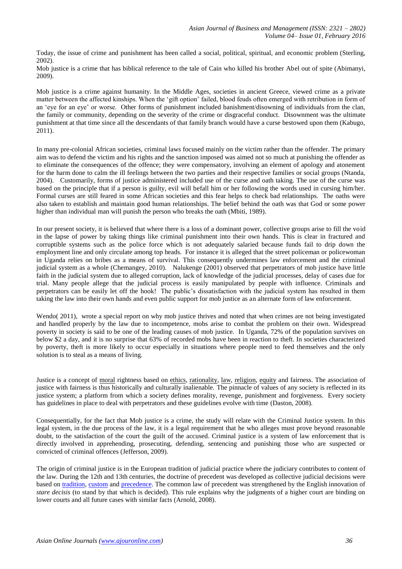Today, the issue of crime and punishment has been called a social, political, spiritual, and economic problem (Sterling, 2002).

Mob justice is a crime that has biblical reference to the tale of Cain who killed his brother Abel out of spite (Abimanyi, 2009).

Mob justice is a crime against humanity. In the Middle Ages, societies in ancient Greece, viewed crime as a private matter between the affected kinships. When the 'gift option' failed, blood feuds often emerged with retribution in form of an 'eye for an eye' or worse. Other forms of punishment included banishment/disowning of individuals from the clan, the family or community, depending on the severity of the crime or disgraceful conduct. Disownment was the ultimate punishment at that time since all the descendants of that family branch would have a curse bestowed upon them (Kabugo, 2011).

In many pre-colonial African societies, criminal laws focused mainly on the victim rather than the offender. The primary aim was to defend the victim and his rights and the sanction imposed was aimed not so much at punishing the offender as to eliminate the consequences of the offence; they were compensatory, involving an element of apology and atonement for the harm done to calm the ill feelings between the two parties and their respective families or social groups (Ntanda, 2004). Customarily, forms of justice administered included use of the curse and oath taking. The use of the curse was based on the principle that if a person is guilty, evil will befall him or her following the words used in cursing him/her. Formal curses are still feared in some African societies and this fear helps to check bad relationships. The oaths were also taken to establish and maintain good human relationships. The belief behind the oath was that God or some power higher than individual man will punish the person who breaks the oath (Mbiti, 1989).

In our present society, it is believed that where there is a loss of a dominant power, collective groups arise to fill the void in the lapse of power by taking things like criminal punishment into their own hands. This is clear in fractured and corruptible systems such as the police force which is not adequately salaried because funds fail to drip down the employment line and only circulate among top heads. For instance it is alleged that the street policeman or policewoman in Uganda relies on bribes as a means of survival. This consequently undermines law enforcement and the criminal judicial system as a whole (Chemangey, 2010). Nalukenge (2001) observed that perpetrators of mob justice have little faith in the judicial system due to alleged corruption, lack of knowledge of the judicial processes, delay of cases due for trial. Many people allege that the judicial process is easily manipulated by people with influence. Criminals and perpetrators can be easily let off the hook! The public's dissatisfaction with the judicial system has resulted in them taking the law into their own hands and even public support for mob justice as an alternate form of law enforcement.

Wendo( 2011), wrote a special report on why mob justice thrives and noted that when crimes are not being investigated and handled properly by the law due to incompetence, mobs arise to combat the problem on their own. Widespread poverty in society is said to be one of the leading causes of mob justice. In Uganda, 72% of the population survives on below \$2 a day, and it is no surprise that 63% of recorded mobs have been in reaction to theft. In societies characterized by poverty, theft is more likely to occur especially in situations where people need to feed themselves and the only solution is to steal as a means of living.

Justice is a concept of [moral](http://en.wikipedia.org/wiki/Morality) rightness based on [ethics,](http://en.wikipedia.org/wiki/Ethics) [rationality,](http://en.wikipedia.org/wiki/Rationality) [law,](http://en.wikipedia.org/wiki/Law) [religion,](http://en.wikipedia.org/wiki/Religion) [equity](http://en.wikipedia.org/wiki/Equity_%28law%29) and fairness. The association of justice with fairness is thus historically and culturally inalienable. The pinnacle of values of any society is reflected in its justice system; a platform from which a society defines morality, revenge, punishment and forgiveness. Every society has guidelines in place to deal with perpetrators and these guidelines evolve with time (Daston, 2008).

Consequentially, for the fact that Mob justice is a crime, the study will relate with the Criminal Justice system. In this legal system, in the due process of the law, it is a legal requirement that he who alleges must prove beyond reasonable doubt, to the satisfaction of the court the guilt of the accused. Criminal justice is a system of law enforcement that is directly involved in apprehending, prosecuting, defending, sentencing and punishing those who are suspected or convicted of criminal offences (Jefferson, 2009).

The origin of criminal justice is in the European tradition of judicial practice where the judiciary contributes to content of the law. During the 12th and 13th centuries, the doctrine of precedent was developed as collective judicial decisions were based on [tradition,](http://en.wikipedia.org/wiki/Tradition) [custom](http://en.wikipedia.org/wiki/Custom_%28law%29) and [precedence.](http://en.wikipedia.org/wiki/Precedent) The common law of precedent was strengthened by the English innovation of *stare decisis* (to stand by that which is decided). This rule explains why the judgments of a higher court are binding on lower courts and all future cases with similar facts (Arnold, 2008).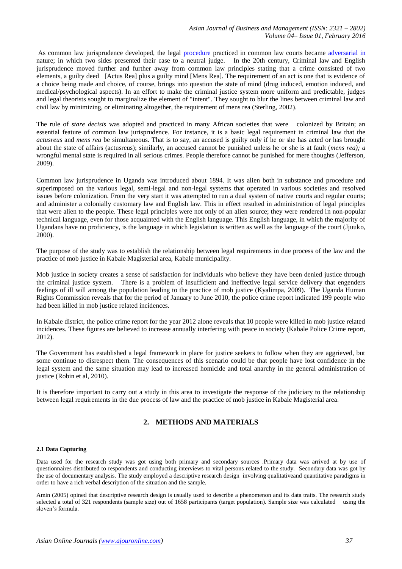As common law jurisprudence developed, the legal [procedure](http://en.wikipedia.org/wiki/Legal_procedure) practiced in common law courts became [adversarial in](http://en.wikipedia.org/wiki/Adversarial_system) nature; in which two sides presented their case to a neutral judge. In the 20th century, Criminal law and English jurisprudence moved further and further away from common law principles stating that a crime consisted of two elements, a guilty deed [Actus Rea] plus a guilty mind [Mens Rea]. The requirement of an act is one that is evidence of a choice being made and choice, of course, brings into question the state of mind (drug induced, emotion induced, and medical/psychological aspects). In an effort to make the criminal justice system more uniform and predictable, judges and legal theorists sought to marginalize the element of "intent". They sought to blur the lines between criminal law and civil law by minimizing, or eliminating altogether, the requirement of mens rea (Sterling, 2002).

The rule of *stare decisis* was adopted and practiced in many African societies that were colonized by Britain; an essential feature of common law jurisprudence. For instance, it is a basic legal requirement in criminal law that the *actusreus* and *mens rea* be simultaneous. That is to say, an accused is guilty only if he or she has acted or has brought about the state of affairs (actusreus); similarly, an accused cannot be punished unless he or she is at fault (*mens rea); a* wrongful mental state is required in all serious crimes. People therefore cannot be punished for mere thoughts (Jefferson, 2009).

Common law jurisprudence in Uganda was introduced about 1894. It was alien both in substance and procedure and superimposed on the various legal, semi-legal and non-legal systems that operated in various societies and resolved issues before colonization. From the very start it was attempted to run a dual system of native courts and regular courts; and administer a colonially customary law and English law. This in effect resulted in administration of legal principles that were alien to the people. These legal principles were not only of an alien source; they were rendered in non-popular technical language, even for those acquainted with the English language. This English language, in which the majority of Ugandans have no proficiency, is the language in which legislation is written as well as the language of the court (Jjuuko, 2000).

The purpose of the study was to establish the relationship between legal requirements in due process of the law and the practice of mob justice in Kabale Magisterial area, Kabale municipality.

Mob justice in society creates a sense of satisfaction for individuals who believe they have been denied justice through the criminal justice system. There is a problem of insufficient and ineffective legal service delivery that engenders feelings of ill will among the population leading to the practice of mob justice (Kyalimpa, 2009). The Uganda Human Rights Commission reveals that for the period of January to June 2010, the police crime report indicated 199 people who had been killed in mob justice related incidences.

In Kabale district, the police crime report for the year 2012 alone reveals that 10 people were killed in mob justice related incidences. These figures are believed to increase annually interfering with peace in society (Kabale Police Crime report, 2012).

The Government has established a legal framework in place for justice seekers to follow when they are aggrieved, but some continue to disrespect them. The consequences of this scenario could be that people have lost confidence in the legal system and the same situation may lead to increased homicide and total anarchy in the general administration of justice (Robin et al, 2010).

It is therefore important to carry out a study in this area to investigate the response of the judiciary to the relationship between legal requirements in the due process of law and the practice of mob justice in Kabale Magisterial area.

# **2. METHODS AND MATERIALS**

# **2.1 Data Capturing**

Data used for the research study was got using both primary and secondary sources .Primary data was arrived at by use of questionnaires distributed to respondents and conducting interviews to vital persons related to the study. Secondary data was got by the use of documentary analysis. The study employed a descriptive research design involving qualitativeand quantitative paradigms in order to have a rich verbal description of the situation and the sample.

Amin (2005) opined that descriptive research design is usually used to describe a phenomenon and its data traits. The research study selected a total of 321 respondents (sample size) out of 1658 participants (target population). Sample size was calculated using the sloven's formula.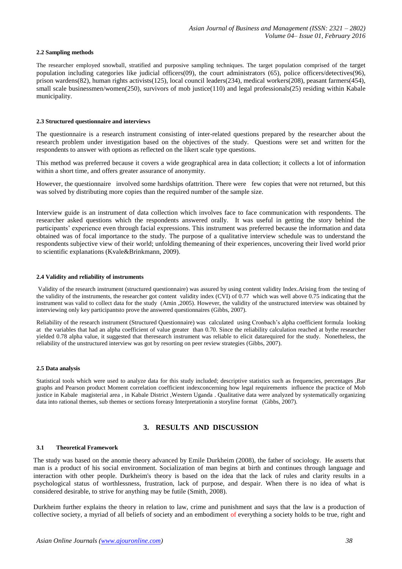#### **2.2 Sampling methods**

The researcher employed snowball, stratified and purposive sampling techniques. The target population comprised of the target population including categories like judicial officers(09), the court administrators (65), police officers/detectives(96), prison wardens(82), human rights activists(125), local council leaders(234), medical workers(208), peasant farmers(454), small scale businessmen/women(250), survivors of mob justice(110) and legal professionals(25) residing within Kabale municipality.

#### **2.3 Structured questionnaire and interviews**

The questionnaire is a research instrument consisting of inter-related questions prepared by the researcher about the research problem under investigation based on the objectives of the study. Questions were set and written for the respondents to answer with options as reflected on the likert scale type questions.

This method was preferred because it covers a wide geographical area in data collection; it collects a lot of information within a short time, and offers greater assurance of anonymity.

However, the questionnaire involved some hardships ofattrition. There were few copies that were not returned, but this was solved by distributing more copies than the required number of the sample size.

Interview guide is an instrument of data collection which involves face to face communication with respondents. The researcher asked questions which the respondents answered orally. It was useful in getting the story behind the participants' experience even through facial expressions. This instrument was preferred because the information and data obtained was of focal importance to the study. The purpose of a qualitative interview schedule was to understand the respondents subjective view of their world; unfolding themeaning of their experiences, uncovering their lived world prior to scientific explanations (Kvale&Brinkmann, 2009).

#### **2.4 Validity and reliability of instruments**

Validity of the research instrument (structured questionnaire) was assured by using content validity Index.Arising from the testing of the validity of the instruments, the researcher got content validity index (CVI) of 0.77 which was well above 0.75 indicating that the instrument was valid to collect data for the study (Amin ,2005). However, the validity of the unstructured interview was obtained by interviewing only key participantsto prove the answered questionnaires (Gibbs, 2007).

Reliability of the research instrument (Structured Questionnaire) was calculated using Cronbach's alpha coefficient formula looking at the variables that had an alpha coefficient of value greater than 0.70. Since the reliability calculation reached at bythe researcher yielded 0.78 alpha value, it suggested that theresearch instrument was reliable to elicit datarequired for the study. Nonetheless, the reliability of the unstructured interview was got by resorting on peer review strategies (Gibbs, 2007).

#### **2.5 Data analysis**

Statistical tools which were used to analyze data for this study included; descriptive statistics such as frequencies, percentages ,Bar graphs and Pearson product Moment correlation coefficient indexconcerning how legal requirements influence the practice of Mob justice in Kabale magisterial area , in Kabale District ,Western Uganda . Qualitative data were analyzed by systematically organizing data into rational themes, sub themes or sections foreasy Interpretationin a storyline format (Gibbs, 2007).

# **3. RESULTS AND DISCUSSION**

# **3.1 Theoretical Framework**

The study was based on the anomie theory advanced by Emile Durkheim (2008), the father of sociology. He asserts that man is a product of his social environment. Socialization of man begins at birth and continues through language and interaction with other people. Durkheim's theory is based on the idea that the lack of rules and clarity results in a psychological status of worthlessness, frustration, lack of purpose, and despair. When there is no idea of what is considered desirable, to strive for anything may be futile (Smith, 2008).

Durkheim further explains the theory in relation to law, crime and punishment and says that the law is a production of collective society, a myriad of all beliefs of society and an embodiment of everything a society holds to be true, right and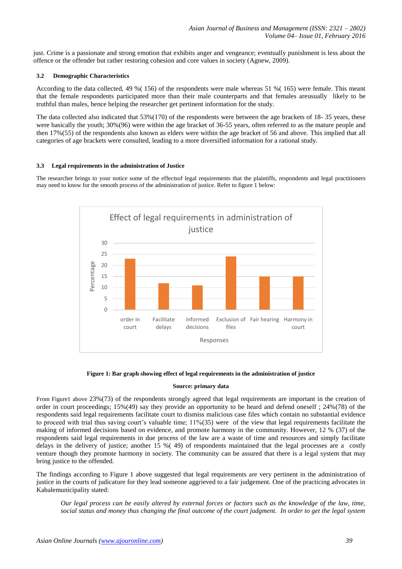just. Crime is a passionate and strong emotion that exhibits anger and vengeance; eventually punishment is less about the offence or the offender but rather restoring cohesion and core values in society (Agnew, 2009).

# **3.2 Demographic Characteristics**

According to the data collected, 49 %( 156) of the respondents were male whereas 51 %( 165) were female. This meant that the female respondents participated more than their male counterparts and that females areusually likely to be truthful than males, hence helping the researcher get pertinent information for the study.

The data collected also indicated that 53%(170) of the respondents were between the age brackets of 18- 35 years, these were basically the youth; 30%(96) were within the age bracket of 36-55 years, often referred to as the mature people and then 17%(55) of the respondents also known as elders were within the age bracket of 56 and above. This implied that all categories of age brackets were consulted, leading to a more diversified information for a rational study.

# **3.3 Legal requirements in the administration of Justice**

The researcher brings to your notice some of the effectsof legal requirements that the plaintiffs, respondents and legal practitioners may need to know for the smooth process of the administration of justice. Refer to figure 1 below:



# **Figure 1: Bar graph showing effect of legal requirements in the administration of justice**

# **Source: primary data**

From Figure1 above 23%(73) of the respondents strongly agreed that legal requirements are important in the creation of order in court proceedings; 15%(49) say they provide an opportunity to be heard and defend oneself ; 24%(78) of the respondents said legal requirements facilitate court to dismiss malicious case files which contain no substantial evidence to proceed with trial thus saving court's valuable time;  $11\%/35$ ) were of the view that legal requirements facilitate the making of informed decisions based on evidence, and promote harmony in the community. However, 12 % (37) of the respondents said legal requirements in due process of the law are a waste of time and resources and simply facilitate delays in the delivery of justice; another 15 %( 49) of respondents maintained that the legal processes are a costly venture though they promote harmony in society. The community can be assured that there is a legal system that may bring justice to the offended.

The findings according to Figure 1 above suggested that legal requirements are very pertinent in the administration of justice in the courts of judicature for they lead someone aggrieved to a fair judgement. One of the practicing advocates in Kabalemunicipality stated:

*Our legal process can be easily altered by external forces or factors such as the knowledge of the law, time, social status and money thus changing the final outcome of the court judgment. In order to get the legal system*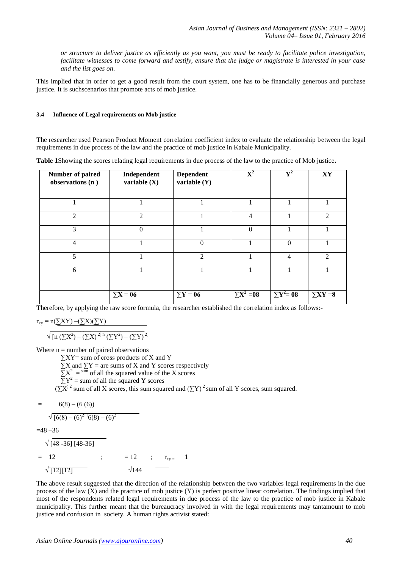*or structure to deliver justice as efficiently as you want, you must be ready to facilitate police investigation, facilitate witnesses to come forward and testify, ensure that the judge or magistrate is interested in your case and the list goes on*.

This implied that in order to get a good result from the court system, one has to be financially generous and purchase justice. It is suchscenarios that promote acts of mob justice.

# **3.4 Influence of Legal requirements on Mob justice**

The researcher used Pearson Product Moment correlation coefficient index to evaluate the relationship between the legal requirements in due process of the law and the practice of mob justice in Kabale Municipality.

|  | Table 1Showing the scores relating legal requirements in due process of the law to the practice of Mob justice. |  |  |  |
|--|-----------------------------------------------------------------------------------------------------------------|--|--|--|
|  |                                                                                                                 |  |  |  |
|  |                                                                                                                 |  |  |  |

| <b>Number of paired</b><br>observations (n) | Independent<br>variable $(X)$ | <b>Dependent</b><br>variable $(Y)$ | $\overline{\mathbf{X}}^2$ | $\mathbf{V}^2$    | $\mathbf{X}\mathbf{Y}$ |
|---------------------------------------------|-------------------------------|------------------------------------|---------------------------|-------------------|------------------------|
|                                             |                               |                                    |                           |                   |                        |
| $\overline{2}$                              | $\mathcal{L}$                 |                                    | $\overline{4}$            |                   | $\overline{2}$         |
| 3                                           | $\theta$                      |                                    | $\Omega$                  | 1                 |                        |
| $\overline{4}$                              |                               | $\theta$                           |                           | $\Omega$          |                        |
| 5                                           |                               | $\mathcal{L}$                      |                           | 4                 | $\mathcal{D}_{\alpha}$ |
| 6                                           |                               |                                    |                           |                   |                        |
|                                             | $\Sigma$ <b>X</b> = 06        | $\Sigma$ <b>Y</b> = 06             | $\Sigma X^2 = 08$         | $\Sigma Y^2 = 08$ | $\Sigma XY = 8$        |

Therefore, by applying the raw score formula, the researcher established the correlation index as follows:-

$$
r_{xy} = n(\sum XY) - (\sum X)(\sum Y)
$$

 \_\_\_\_\_\_\_\_\_\_\_\_\_\_\_\_\_\_\_\_\_\_\_\_\_\_\_\_  $\sqrt{\left[n\left(\sum X^2\right) - \left(\sum X\right)^{2}\right]n\left(\sum Y^2\right) - \left(\sum Y\right)^{2}}$ 

Where  $n =$  number of paired observations

- $\sum XY$ = sum of cross products of X and Y  $\sum X$  and  $\sum Y$  = are sums of X and Y scores respectively
	- $\overline{\sum}X^2 = \frac{\text{sum}}{\sum}$  of all the squared value of the X scores
- $\overline{\Sigma}Y^2$  = sum of all the squared Y scores
- $(\sum X)^2$  sum of all X scores, this sum squared and  $(\sum Y)^2$  sum of all Y scores, sum squared.

$$
= 6(8) - (6(6))
$$

$$
\sqrt{[6(8) - (6)^{21} 6(8) - (6)^2}
$$

 $=48 - 36$ 

 $\sqrt{148 - 361148 - 361}$  $= 12$  ;  $r_{xy} = 12$  ;  $r_{xy} = 1$  $\sqrt{12}$ [12]  $\sqrt{144}$ 

The above result suggested that the direction of the relationship between the two variables legal requirements in the due process of the law (X) and the practice of mob justice (Y) is perfect positive linear correlation. The findings implied that most of the respondents related legal requirements in due process of the law to the practice of mob justice in Kabale municipality. This further meant that the bureaucracy involved in with the legal requirements may tantamount to mob justice and confusion in society. A human rights activist stated: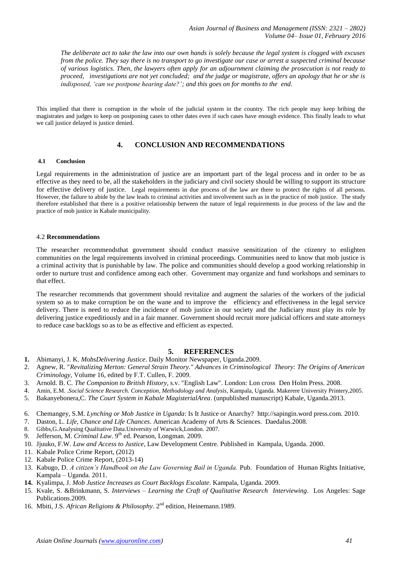*The deliberate act to take the law into our own hands is solely because the legal system is clogged with excuses from the police. They say there is no transport to go investigate our case or arrest a suspected criminal because of various logistics. Then, the lawyers often apply for an adjournment claiming the prosecution is not ready to proceed, investigations are not yet concluded; and the judge or magistrate, offers an apology that he or she is indisposed, "can we postpone hearing date?"; and this goes on for months to the end.*

This implied that there is corruption in the whole of the judicial system in the country. The rich people may keep bribing the magistrates and judges to keep on postponing cases to other dates even if such cases have enough evidence. This finally leads to what we call justice delayed is justice denied.

# **4. CONCLUSION AND RECOMMENDATIONS**

# **4.1 Conclusion**

Legal requirements in the administration of justice are an important part of the legal process and in order to be as effective as they need to be, all the stakeholders in the judiciary and civil society should be willing to support its structure for effective delivery of justice. Legal requirements in due process of the law are there to protect the rights of all persons. However, the failure to abide by the law leads to criminal activities and involvement such as in the practice of mob justice. The study therefore established that there is a positive relationship between the nature of legal requirements in due process of the law and the practice of mob justice in Kabale municipality.

# 4.2 **Recommendations**

The researcher recommendsthat government should conduct massive sensitization of the ctizenry to enlighten communities on the legal requirements involved in criminal proceedings. Communities need to know that mob justice is a criminal activity that is punishable by law. The police and communities should develop a good working relationship in order to nurture trust and confidence among each other. Government may organize and fund workshops and seminars to that effect.

The researcher recommends that government should revitalize and augment the salaries of the workers of the judicial system so as to make corruption be on the wane and to improve the efficiency and effectiveness in the legal service delivery. There is need to reduce the incidence of mob justice in our society and the Judiciary must play its role by delivering justice expeditiously and in a fair manner. Government should recruit more judicial officers and state attorneys to reduce case backlogs so as to be as effective and efficient as expected.

# **5. REFERENCES**

- **1.** Abimanyi, J. K. *MobsDelivering Justice*. Daily Monitor Newspaper, Uganda.2009.
- 2. Agnew, R. "*Revitalizing Merton: General Strain Theory." Advances in Criminological Theory: The Origins of American Criminology,* Volume 16, edited by F.T. Cullen, F. 2009.
- 3. Arnold. B. C. *The Companion to British History*, s.v. "English Law". London: Lon cross Den Holm Press. 2008.
- 4. Amin, E.M. .*Social Science Research. Conception, Methodology and Analysis*, Kampala, Uganda. Makerere University Printery,2005.
- 5. Bakanyebonera,C. *The Court System in Kabale MagisterialArea*. (unpublished manuscript) Kabale, Uganda.2013.
- 6. Chemangey, S.M. *Lynching or Mob Justice in Uganda*: Is It Justice or Anarchy? http://sapingin.word press.com. 2010.
- 7. Daston, L. *Life, Chance and Life Chances*. American Academy of Arts & Sciences. Daedalus.2008.
- 8. Gibbs,G.Analysing Qualitative Data.University of Warwick,London. 2007.
- 9. Jefferson, M. *Criminal Law*. 9th ed. Pearson, Longman. 2009.
- 10. Jjuuko, F.W. *Law and Access to Justice*, Law Development Centre. Published in Kampala, Uganda. 2000.
- 11. Kabale Police Crime Report, (2012)
- 12. Kabale Police Crime Report, (2013-14)
- 13. Kabugo, D. A citizen's Handbook on the Law Governing Bail in Uganda. Pub. Foundation of Human Rights Initiative, Kampala – Uganda. 2011.
- **14.** Kyalimpa, J. *Mob Justice Increases as Court Backlogs Escalate*. Kampala, Uganda. 2009*.*
- 15. Kvale, S. &Brinkmann, S. *Interviews – Learning the Craft of Qualitative Research Interviewing*. Los Angeles: Sage Publications.2009.
- 16. Mbiti, J.S. *African Religions & Philosophy*. 2<sup>nd</sup> edition, Heinemann.1989.